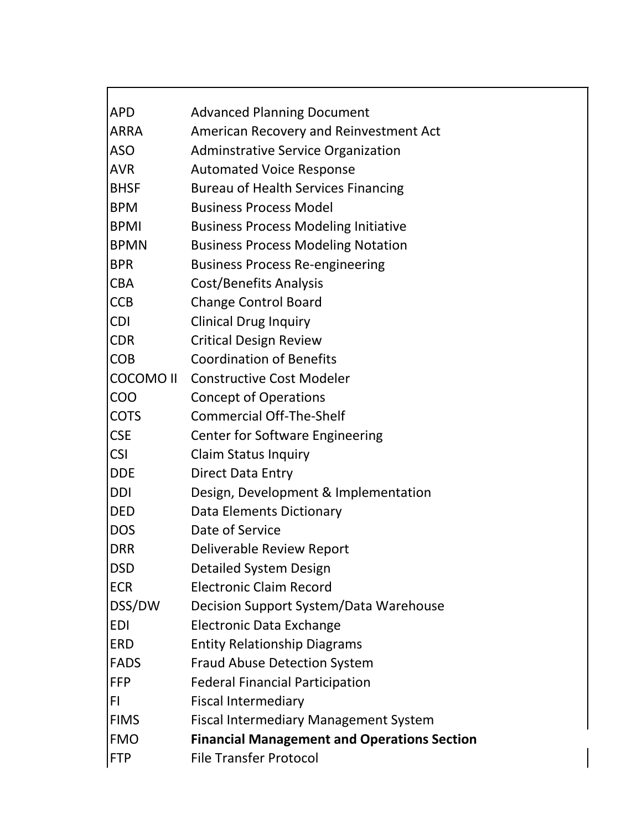| <b>APD</b>       | <b>Advanced Planning Document</b>                  |
|------------------|----------------------------------------------------|
| ARRA             | American Recovery and Reinvestment Act             |
| <b>ASO</b>       | <b>Adminstrative Service Organization</b>          |
| <b>AVR</b>       | <b>Automated Voice Response</b>                    |
| <b>BHSF</b>      | <b>Bureau of Health Services Financing</b>         |
| <b>BPM</b>       | <b>Business Process Model</b>                      |
| <b>BPMI</b>      | <b>Business Process Modeling Initiative</b>        |
| <b>BPMN</b>      | <b>Business Process Modeling Notation</b>          |
| <b>BPR</b>       | <b>Business Process Re-engineering</b>             |
| <b>CBA</b>       | Cost/Benefits Analysis                             |
| <b>CCB</b>       | <b>Change Control Board</b>                        |
| <b>CDI</b>       | <b>Clinical Drug Inquiry</b>                       |
| <b>CDR</b>       | <b>Critical Design Review</b>                      |
| <b>COB</b>       | <b>Coordination of Benefits</b>                    |
| <b>COCOMO II</b> | <b>Constructive Cost Modeler</b>                   |
| COO              | <b>Concept of Operations</b>                       |
| <b>COTS</b>      | <b>Commercial Off-The-Shelf</b>                    |
| <b>CSE</b>       | <b>Center for Software Engineering</b>             |
| <b>CSI</b>       | <b>Claim Status Inquiry</b>                        |
| <b>DDE</b>       | <b>Direct Data Entry</b>                           |
| <b>DDI</b>       | Design, Development & Implementation               |
| <b>DED</b>       | Data Elements Dictionary                           |
| <b>DOS</b>       | Date of Service                                    |
| <b>DRR</b>       | Deliverable Review Report                          |
| <b>DSD</b>       | <b>Detailed System Design</b>                      |
| <b>ECR</b>       | <b>Electronic Claim Record</b>                     |
| DSS/DW           | Decision Support System/Data Warehouse             |
| <b>EDI</b>       | Electronic Data Exchange                           |
| <b>ERD</b>       | <b>Entity Relationship Diagrams</b>                |
| <b>FADS</b>      | <b>Fraud Abuse Detection System</b>                |
| <b>FFP</b>       | <b>Federal Financial Participation</b>             |
| FI               | <b>Fiscal Intermediary</b>                         |
| <b>FIMS</b>      | <b>Fiscal Intermediary Management System</b>       |
| <b>FMO</b>       | <b>Financial Management and Operations Section</b> |
| <b>FTP</b>       | <b>File Transfer Protocol</b>                      |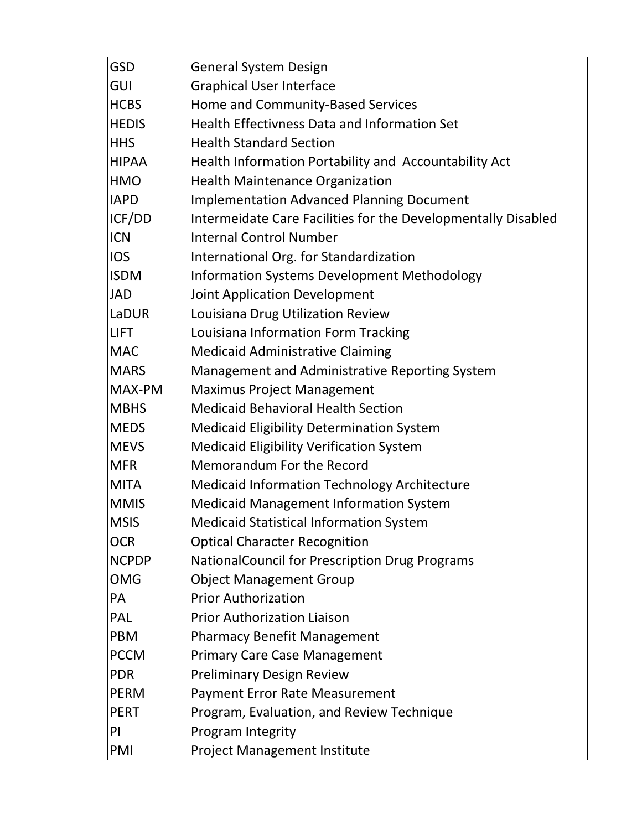| <b>GSD</b>   | <b>General System Design</b>                                  |
|--------------|---------------------------------------------------------------|
| GUI          | <b>Graphical User Interface</b>                               |
| <b>HCBS</b>  | Home and Community-Based Services                             |
| <b>HEDIS</b> | Health Effectivness Data and Information Set                  |
| <b>HHS</b>   | <b>Health Standard Section</b>                                |
| <b>HIPAA</b> | Health Information Portability and Accountability Act         |
| <b>HMO</b>   | <b>Health Maintenance Organization</b>                        |
| <b>IAPD</b>  | <b>Implementation Advanced Planning Document</b>              |
| ICF/DD       | Intermeidate Care Facilities for the Developmentally Disabled |
| <b>ICN</b>   | <b>Internal Control Number</b>                                |
| <b>IOS</b>   | International Org. for Standardization                        |
| <b>ISDM</b>  | <b>Information Systems Development Methodology</b>            |
| <b>JAD</b>   | Joint Application Development                                 |
| LaDUR        | Louisiana Drug Utilization Review                             |
| <b>LIFT</b>  | Louisiana Information Form Tracking                           |
| <b>MAC</b>   | <b>Medicaid Administrative Claiming</b>                       |
| <b>MARS</b>  | Management and Administrative Reporting System                |
| MAX-PM       | <b>Maximus Project Management</b>                             |
| <b>MBHS</b>  | <b>Medicaid Behavioral Health Section</b>                     |
| <b>MEDS</b>  | <b>Medicaid Eligibility Determination System</b>              |
| <b>MEVS</b>  | <b>Medicaid Eligibility Verification System</b>               |
| <b>MFR</b>   | Memorandum For the Record                                     |
| <b>MITA</b>  | <b>Medicaid Information Technology Architecture</b>           |
| <b>MMIS</b>  | <b>Medicaid Management Information System</b>                 |
| <b>MSIS</b>  | <b>Medicaid Statistical Information System</b>                |
| <b>OCR</b>   | <b>Optical Character Recognition</b>                          |
| <b>NCPDP</b> | NationalCouncil for Prescription Drug Programs                |
| <b>OMG</b>   | <b>Object Management Group</b>                                |
| <b>PA</b>    | <b>Prior Authorization</b>                                    |
| PAL          | <b>Prior Authorization Liaison</b>                            |
| <b>PBM</b>   | <b>Pharmacy Benefit Management</b>                            |
| <b>PCCM</b>  | <b>Primary Care Case Management</b>                           |
| <b>PDR</b>   | <b>Preliminary Design Review</b>                              |
| <b>PERM</b>  | <b>Payment Error Rate Measurement</b>                         |
| <b>PERT</b>  | Program, Evaluation, and Review Technique                     |
| PI           | Program Integrity                                             |
| PMI          | Project Management Institute                                  |